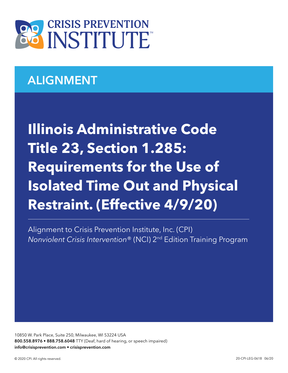

# ALIGNMENT

**Illinois Administrative Code Title 23, Section 1.285: Requirements for the Use of Isolated Time Out and Physical Restraint. (Effective 4/9/20)**

Alignment to Crisis Prevention Institute, Inc. (CPI) *Nonviolent Crisis Intervention*® (NCI) 2nd Edition Training Program

10850 W. Park Place, Suite 250, Milwaukee, WI 53224 USA 800.558.8976 • 888.758.6048 TTY (Deaf, hard of hearing, or speech impaired) info@crisisprevention.com • crisisprevention.com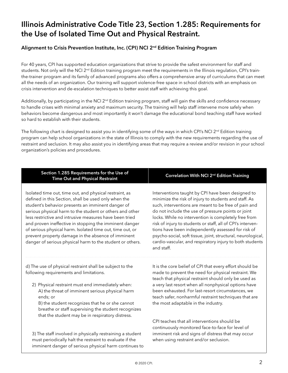## Illinois Administrative Code Title 23, Section 1.285: Requirements for the Use of Isolated Time Out and Physical Restraint.

### Alignment to Crisis Prevention Institute, Inc. (CPI) NCI 2<sup>nd</sup> Edition Training Program

For 40 years, CPI has supported education organizations that strive to provide the safest environment for staff and students. Not only will the NCI  $2^{nd}$  Edition training program meet the requirements in the Illinois regulation, CPI's trainthe-trainer program and its family of advanced programs also offers a comprehensive array of curriculums that can meet all the needs of an organization. Our training will support violence-free space in school districts with an emphasis on crisis intervention and de-escalation techniques to better assist staff with achieving this goal.

Additionally, by participating in the NCI 2<sup>nd</sup> Edition training program, staff will gain the skills and confidence necessary to handle crises with minimal anxiety and maximum security. The training will help staff intervene more safely when behaviors become dangerous and most importantly it won't damage the educational bond teaching staff have worked so hard to establish with their students.

The following chart is designed to assist you in identifying some of the ways in which CPI's NCI  $2^{nd}$  Edition training program can help school organizations in the state of Illinois to comply with the new requirements regarding the use of restraint and seclusion. It may also assist you in identifying areas that may require a review and/or revision in your school organization's policies and procedures.

| Section 1.285 Requirements for the Use of<br><b>Time Out and Physical Restraint</b>                                                                                                                                                                                                                                                                                                                                                                                                                                                   | Correlation With NCI 2 <sup>nd</sup> Edition Training                                                                                                                                                                                                                                                                                                                                                                                                                                                                                           |
|---------------------------------------------------------------------------------------------------------------------------------------------------------------------------------------------------------------------------------------------------------------------------------------------------------------------------------------------------------------------------------------------------------------------------------------------------------------------------------------------------------------------------------------|-------------------------------------------------------------------------------------------------------------------------------------------------------------------------------------------------------------------------------------------------------------------------------------------------------------------------------------------------------------------------------------------------------------------------------------------------------------------------------------------------------------------------------------------------|
| Isolated time out, time out, and physical restraint, as<br>defined in this Section, shall be used only when the<br>student's behavior presents an imminent danger of<br>serious physical harm to the student or others and other<br>less restrictive and intrusive measures have been tried<br>and proven ineffective in stopping the imminent danger<br>of serious physical harm. Isolated time out, time out, or<br>prevent property damage in the absence of imminent<br>danger of serious physical harm to the student or others. | Interventions taught by CPI have been designed to<br>minimize the risk of injury to students and staff. As<br>such, interventions are meant to be free of pain and<br>do not include the use of pressure points or joint<br>locks. While no intervention is completely free from<br>risk of injury to students or staff, all of CPI's interven-<br>tions have been independently assessed for risk of<br>psycho-social, soft tissue, joint, structural, neurological,<br>cardio-vascular, and respiratory injury to both students<br>and staff. |
| d) The use of physical restraint shall be subject to the<br>following requirements and limitations.                                                                                                                                                                                                                                                                                                                                                                                                                                   | It is the core belief of CPI that every effort should be<br>made to prevent the need for physical restraint. We<br>teach that physical restraint should only be used as                                                                                                                                                                                                                                                                                                                                                                         |
| 2) Physical restraint must end immediately when:<br>A) the threat of imminent serious physical harm<br>ends; or<br>B) the student recognizes that he or she cannot<br>breathe or staff supervising the student recognizes<br>that the student may be in respiratory distress.                                                                                                                                                                                                                                                         | a very last resort when all nonphysical options have<br>been exhausted. For last-resort circumstances, we<br>teach safer, nonharmful restraint techniques that are<br>the most adaptable in the industry.                                                                                                                                                                                                                                                                                                                                       |
| 3) The staff involved in physically restraining a student<br>must periodically halt the restraint to evaluate if the<br>imminent danger of serious physical harm continues to                                                                                                                                                                                                                                                                                                                                                         | CPI teaches that all interventions should be<br>continuously monitored face-to-face for level of<br>imminent risk and signs of distress that may occur<br>when using restraint and/or seclusion.                                                                                                                                                                                                                                                                                                                                                |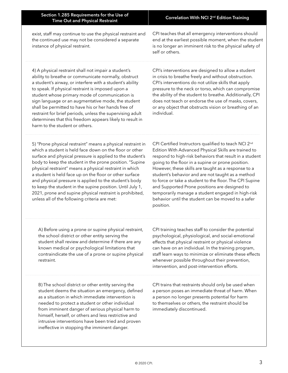exist, staff may continue to use the physical restraint and the continued use may not be considered a separate instance of physical restraint.

CPI teaches that all emergency interventions should end at the earliest possible moment, when the student is no longer an imminent risk to the physical safety of self or others.

4) A physical restraint shall not impair a student's ability to breathe or communicate normally, obstruct a student's airway, or interfere with a student's ability to speak. If physical restraint is imposed upon a student whose primary mode of communication is sign language or an augmentative mode, the student shall be permitted to have his or her hands free of restraint for brief periods, unless the supervising adult determines that this freedom appears likely to result in harm to the student or others.

CPI's interventions are designed to allow a student in crisis to breathe freely and without obstruction. CPI's interventions do not utilize skills that apply pressure to the neck or torso, which can compromise the ability of the student to breathe. Additionally, CPI does not teach or endorse the use of masks, covers, or any object that obstructs vision or breathing of an individual.

5) "Prone physical restraint" means a physical restraint in which a student is held face down on the floor or other surface and physical pressure is applied to the student's body to keep the student in the prone position. "Supine physical restraint" means a physical restraint in which a student is held face up on the floor or other surface and physical pressure is applied to the student's body to keep the student in the supine position. Until July 1, 2021, prone and supine physical restraint is prohibited, unless all of the following criteria are met:

CPI Certified Instructors qualified to teach NCI 2<sup>nd</sup> Edition With Advanced Physical Skills are trained to respond to high-risk behaviors that result in a student going to the floor in a supine or prone position. However, these skills are taught as a response to a student's behavior and are not taught as a method to force or take a student to the floor. The CPI Supine and Supported Prone positions are designed to temporarily manage a student engaged in high-risk behavior until the student can be moved to a safer position.

A) Before using a prone or supine physical restraint, the school district or other entity serving the student shall review and determine if there are any known medical or psychological limitations that contraindicate the use of a prone or supine physical restraint.

B) The school district or other entity serving the student deems the situation an emergency, defined as a situation in which immediate intervention is needed to protect a student or other individual from imminent danger of serious physical harm to himself, herself, or others and less restrictive and intrusive interventions have been tried and proven ineffective in stopping the imminent danger.

CPI training teaches staff to consider the potential psychological, physiological, and social-emotional effects that physical restraint or physical violence can have on an individual. In the training program, staff learn ways to minimize or eliminate these effects whenever possible throughout their prevention, intervention, and post-intervention efforts.

CPI trains that restraints should only be used when a person poses an immediate threat of harm. When a person no longer presents potential for harm to themselves or others, the restraint should be immediately discontinued.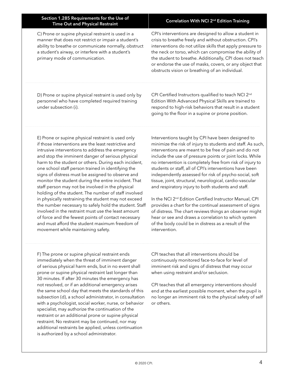| Section 1.285 Requirements for the Use of<br><b>Time Out and Physical Restraint</b>                                                                                                                                                                                                                                                                                                                                                                                                                                                                                                                                                                                                                                                                                                                                                                                               | Correlation With NCI 2 <sup>nd</sup> Edition Training                                                                                                                                                                                                                                                                                                                                                                                                                                                                                                                                                                                                                                                                                                                                                                                                                |
|-----------------------------------------------------------------------------------------------------------------------------------------------------------------------------------------------------------------------------------------------------------------------------------------------------------------------------------------------------------------------------------------------------------------------------------------------------------------------------------------------------------------------------------------------------------------------------------------------------------------------------------------------------------------------------------------------------------------------------------------------------------------------------------------------------------------------------------------------------------------------------------|----------------------------------------------------------------------------------------------------------------------------------------------------------------------------------------------------------------------------------------------------------------------------------------------------------------------------------------------------------------------------------------------------------------------------------------------------------------------------------------------------------------------------------------------------------------------------------------------------------------------------------------------------------------------------------------------------------------------------------------------------------------------------------------------------------------------------------------------------------------------|
| C) Prone or supine physical restraint is used in a<br>manner that does not restrict or impair a student's<br>ability to breathe or communicate normally, obstruct<br>a student's airway, or interfere with a student's<br>primary mode of communication.                                                                                                                                                                                                                                                                                                                                                                                                                                                                                                                                                                                                                          | CPI's interventions are designed to allow a student in<br>crisis to breathe freely and without obstruction. CPI's<br>interventions do not utilize skills that apply pressure to<br>the neck or torso, which can compromise the ability of<br>the student to breathe. Additionally, CPI does not teach<br>or endorse the use of masks, covers, or any object that<br>obstructs vision or breathing of an individual.                                                                                                                                                                                                                                                                                                                                                                                                                                                  |
| D) Prone or supine physical restraint is used only by<br>personnel who have completed required training<br>under subsection (i).                                                                                                                                                                                                                                                                                                                                                                                                                                                                                                                                                                                                                                                                                                                                                  | CPI Certified Instructors qualified to teach NCI 2 <sup>nd</sup><br>Edition With Advanced Physical Skills are trained to<br>respond to high-risk behaviors that result in a student<br>going to the floor in a supine or prone position.                                                                                                                                                                                                                                                                                                                                                                                                                                                                                                                                                                                                                             |
| E) Prone or supine physical restraint is used only<br>if those interventions are the least restrictive and<br>intrusive interventions to address the emergency<br>and stop the imminent danger of serious physical<br>harm to the student or others. During each incident,<br>one school staff person trained in identifying the<br>signs of distress must be assigned to observe and<br>monitor the student during the entire incident. That<br>staff person may not be involved in the physical<br>holding of the student. The number of staff involved<br>in physically restraining the student may not exceed<br>the number necessary to safely hold the student. Staff<br>involved in the restraint must use the least amount<br>of force and the fewest points of contact necessary<br>and must afford the student maximum freedom of<br>movement while maintaining safety. | Interventions taught by CPI have been designed to<br>minimize the risk of injury to students and staff. As such,<br>interventions are meant to be free of pain and do not<br>include the use of pressure points or joint locks. While<br>no intervention is completely free from risk of injury to<br>students or staff, all of CPI's interventions have been<br>independently assessed for risk of psycho-social, soft<br>tissue, joint, structural, neurological, cardio-vascular<br>and respiratory injury to both students and staff.<br>In the NCI 2 <sup>nd</sup> Edition Certified Instructor Manual, CPI<br>provides a chart for the continual assessment of signs<br>of distress. The chart reviews things an observer might<br>hear or see and draws a correlation to which system<br>of the body could be in distress as a result of the<br>intervention. |
| F) The prone or supine physical restraint ends<br>immediately when the threat of imminent danger<br>of serious physical harm ends, but in no event shall<br>prone or supine physical restraint last longer than<br>30 minutes. If after 30 minutes the emergency has                                                                                                                                                                                                                                                                                                                                                                                                                                                                                                                                                                                                              | CPI teaches that all interventions should be<br>continuously monitored face-to-face for level of<br>imminent risk and signs of distress that may occur<br>when using restraint and/or seclusion.                                                                                                                                                                                                                                                                                                                                                                                                                                                                                                                                                                                                                                                                     |

CPI teaches that all emergency interventions should end at the earliest possible moment, when the pupil is no longer an imminent risk to the physical safety of self or others.

not resolved, or if an additional emergency arises the same school day that meets the standards of this subsection (d), a school administrator, in consultation with a psychologist, social worker, nurse, or behavior specialist, may authorize the continuation of the restraint or an additional prone or supine physical restraint. No restraint may be continued, nor may additional restraints be applied, unless continuation

is authorized by a school administrator.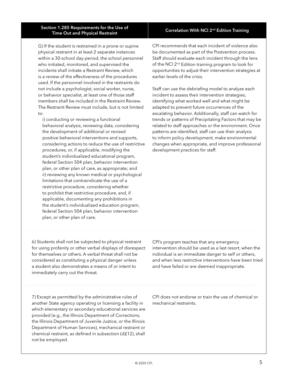#### Section 1.285 Requirements for the Use of on 1.265 Requirements for the Ose of Maritimes Correlation With NCI 2<sup>nd</sup> Edition Training<br>Time Out and Physical Restraint

G) If the student is restrained in a prone or supine physical restraint in at least 2 separate instances within a 30-school day period, the school personnel who initiated, monitored, and supervised the incidents shall initiate a Restraint Review, which is a review of the effectiveness of the procedures used. If the personnel involved in the restraints do not include a psychologist, social worker, nurse, or behavior specialist, at least one of those staff members shall be included in the Restraint Review. The Restraint Review must include, but is not limited  $t \cap$ 

i) conducting or reviewing a functional behavioral analysis, reviewing data, considering the development of additional or revised positive behavioral interventions and supports, considering actions to reduce the use of restrictive procedures, or, if applicable, modifying the student's individualized educational program, federal Section 504 plan, behavior intervention plan, or other plan of care, as appropriate; and ii) reviewing any known medical or psychological limitations that contraindicate the use of a restrictive procedure, considering whether to prohibit that restrictive procedure, and, if applicable, documenting any prohibitions in the student's individualized education program, federal Section 504 plan, behavior intervention plan, or other plan of care.

CPI recommends that each incident of violence also be documented as part of the Postvention process. Staff should evaluate each incident through the lens of the NCI 2<sup>nd</sup> Edition training program to look for opportunities to adjust their intervention strategies at earlier levels of the crisis.

Staff can use the debriefing model to analyze each incident to assess their intervention strategies, identifying what worked well and what might be adapted to prevent future occurrences of the escalating behavior. Additionally, staff can watch for trends or patterns of Precipitating Factors that may be related to staff approaches or the environment. Once patterns are identified, staff can use their analysis to inform policy development, make environmental changes when appropriate, and improve professional development practices for staff.

6) Students shall not be subjected to physical restraint for using profanity or other verbal displays of disrespect for themselves or others. A verbal threat shall not be considered as constituting a physical danger unless a student also demonstrates a means of or intent to immediately carry out the threat.

individual is an immediate danger to self or others, and when less restrictive interventions have been tried and have failed or are deemed inappropriate.

intervention should be used as a last resort, when the

CPI's program teaches that any emergency

7) Except as permitted by the administrative rules of another State agency operating or licensing a facility in which elementary or secondary educational services are provided (e.g., the Illinois Department of Corrections, the Illinois Department of Juvenile Justice, or the Illinois Department of Human Services), mechanical restraint or chemical restraint, as defined in subsection (d)(12), shall not be employed.

CPI does not endorse or train the use of chemical or mechanical restraints.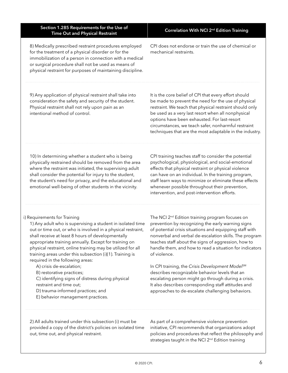| Correlation With NCI 2 <sup>nd</sup> Edition Training                                                                                                                                                                                                                                                                                                                                           |
|-------------------------------------------------------------------------------------------------------------------------------------------------------------------------------------------------------------------------------------------------------------------------------------------------------------------------------------------------------------------------------------------------|
| CPI does not endorse or train the use of chemical or<br>mechanical restraints.                                                                                                                                                                                                                                                                                                                  |
| It is the core belief of CPI that every effort should<br>be made to prevent the need for the use of physical<br>restraint. We teach that physical restraint should only<br>be used as a very last resort when all nonphysical<br>options have been exhausted. For last-resort<br>circumstances, we teach safer, nonharmful restraint<br>techniques that are the most adaptable in the industry. |
| CPI training teaches staff to consider the potential<br>psychological, physiological, and social-emotional<br>effects that physical restraint or physical violence<br>can have on an individual. In the training program,<br>staff learn ways to minimize or eliminate these effects<br>whenever possible throughout their prevention,<br>intervention, and post-intervention efforts.          |
| The NCI 2 <sup>nd</sup> Edition training program focuses on<br>prevention by recognizing the early warning signs<br>of potential crisis situations and equipping staff with<br>nonverbal and verbal de-escalation skills. The program<br>teaches staff about the signs of aggression, how to<br>handle them, and how to read a situation for indicators<br>of violence.                         |
| In CPI training, the Crisis Development Model <sup>SM</sup><br>describes recognizable behavior levels that an<br>escalating person might go through during a crisis.<br>It also describes corresponding staff attitudes and<br>approaches to de-escalate challenging behaviors.                                                                                                                 |
|                                                                                                                                                                                                                                                                                                                                                                                                 |

2) All adults trained under this subsection (i) must be provided a copy of the district's policies on isolated time out, time out, and physical restraint.

As part of a comprehensive violence prevention initiative, CPI recommends that organizations adopt policies and procedures that reflect the philosophy and strategies taught in the NCI 2<sup>nd</sup> Edition training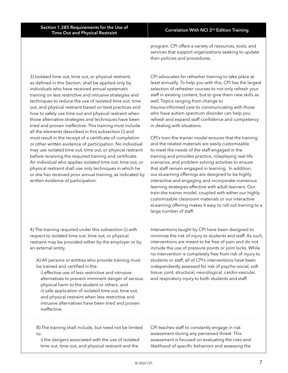program. CPI offers a variety of resources, tools, and services that support organizations seeking to update their policies and procedures.

3) Isolated time out, time out, or physical restraint, as defined in this Section, shall be applied only by individuals who have received annual systematic training on less restrictive and intrusive strategies and techniques to reduce the use of isolated time out, time out, and physical restraint based on best practices and how to safely use time out and physical restraint when those alternative strategies and techniques have been tried and proven ineffective. This training must include all the elements described in this subsection (i) and must result in the receipt of a certificate of completion or other written evidence of participation. No individual may use isolated time out, time out, or physical restraint before receiving the required training and certificate. An individual who applies isolated time out, time out, or physical restraint shall use only techniques in which he or she has received prior annual training, as indicated by written evidence of participation.

CPI advocates for refresher training to take place at least annually. To help you with this, CPI has the largest selection of refresher courses to not only refresh your staff in existing content, but to give them new skills as well. Topics ranging from change to trauma-informed care to communicating with those who have autism spectrum disorder can help you refresh and expand staff confidence and competency in dealing with situations.

CPI's train-the-trainer model ensures that the training and the related materials are easily customizable to meet the needs of the staff engaged in the training and provides practice, roleplaying real-life scenarios, and problem solving activities to ensure that staff remain engaged in learning. In addition, our eLearning offerings are designed to be highly interactive and engaging and incorporate numerous learning strategies effective with adult learners. Ourtrain-the-trainer model, coupled with either our highly customizable classroom materials or our interactive eLearning offering makes it easy to roll out training to a large number of staff.

4) The training required under this subsection (i) with respect to isolated time out, time out, or physical restraint may be provided either by the employer or by an external entity.

A) All persons or entities who provide training must be trained and certified in the:

i) effective use of less restrictive and intrusive alternatives to prevent imminent danger of serious physical harm to the student or others; and ii) safe application of isolated time out, time out, and physical restraint when less restrictive and intrusive alternatives have been tried and proven ineffective.

Interventions taught by CPI have been designed to minimize the risk of injury to students and staff. As such, interventions are meant to be free of pain and do not include the use of pressure points or joint locks. While no intervention is completely free from risk of injury to students or staff, all of CPI's interventions have been independently assessed for risk of psycho-social, soft tissue, joint, structural, neurological, cardio-vascular, and respiratory injury to both students and staff.

B) The training shall include, but need not be limited to:

i) the dangers associated with the use of isolated time out, time out, and physical restraint and the

CPI teaches staff to constantly engage in risk assessment during any perceived threat. This assessment is focused on evaluating the risks and likelihood of specific behaviors and assessing the